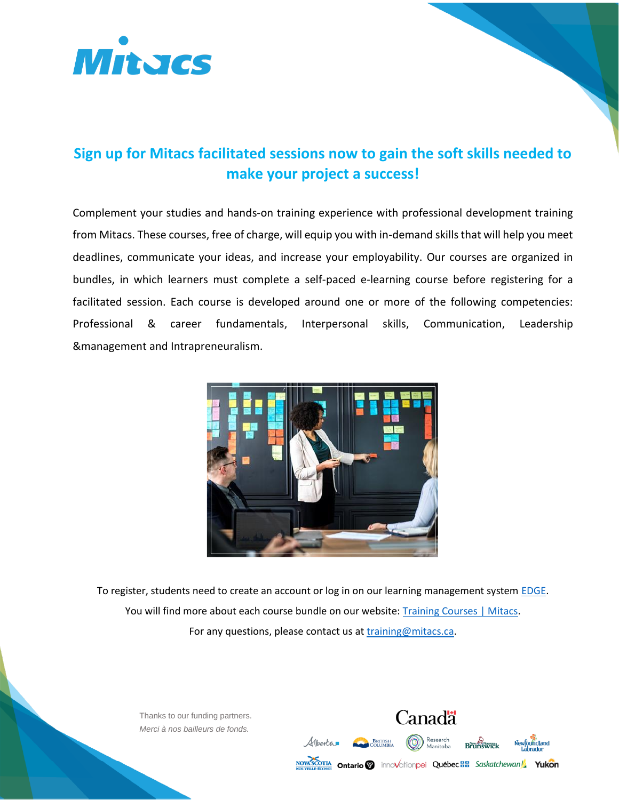

# **Sign up for Mitacs facilitated sessions now to gain the soft skills needed to make your project a success!**

Complement your studies and hands-on training experience with professional development training from Mitacs. These courses, free of charge, will equip you with in-demand skills that will help you meet deadlines, communicate your ideas, and increase your employability. Our courses are organized in bundles, in which learners must complete a self-paced e-learning course before registering for a facilitated session. Each course is developed around one or more of the following competencies: Professional & career fundamentals, Interpersonal skills, Communication, Leadership &management and Intrapreneuralism.



To register, students need to create an account or log in on our learning management syste[m EDGE.](https://edge-reg.mitacs.ca/) You will find more about each course bundle on our website: [Training Courses | Mitacs.](https://www.mitacs.ca/en/programs/training/training-courses) For any questions, please contact us at [training@mitacs.ca.](mailto:training@mitacs.ca)

Thanks to our funding partners. *Merci à nos bailleurs de fonds.*